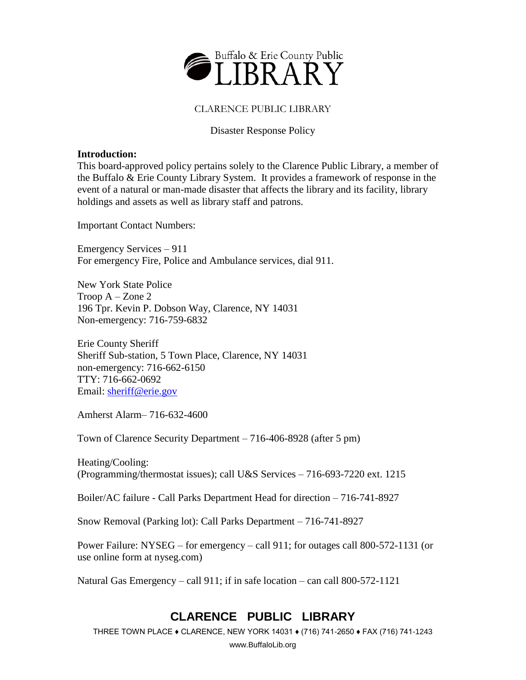

### CLARENCE PUBLIC LIBRARY

### Disaster Response Policy

#### **Introduction:**

This board-approved policy pertains solely to the Clarence Public Library, a member of the Buffalo & Erie County Library System. It provides a framework of response in the event of a natural or man-made disaster that affects the library and its facility, library holdings and assets as well as library staff and patrons.

Important Contact Numbers:

Emergency Services – 911 For emergency Fire, Police and Ambulance services, dial 911.

New York State Police Troop A – Zone 2 196 Tpr. Kevin P. Dobson Way, Clarence, NY 14031 Non-emergency: 716-759-6832

Erie County Sheriff Sheriff Sub-station, 5 Town Place, Clarence, NY 14031 non-emergency: 716-662-6150 TTY: 716-662-0692 Email: [sheriff@erie.gov](mailto:sheriff@erie.gov)

Amherst Alarm– 716-632-4600

Town of Clarence Security Department – 716-406-8928 (after 5 pm)

Heating/Cooling: (Programming/thermostat issues); call U&S Services – 716-693-7220 ext. 1215

Boiler/AC failure - Call Parks Department Head for direction – 716-741-8927

Snow Removal (Parking lot): Call Parks Department – 716-741-8927

Power Failure: NYSEG – for emergency – call 911; for outages call 800-572-1131 (or use online form at nyseg.com)

Natural Gas Emergency – call 911; if in safe location – can call 800-572-1121

## **CLARENCE PUBLIC LIBRARY**

THREE TOWN PLACE ♦ CLARENCE, NEW YORK 14031 ♦ (716) 741-2650 ♦ FAX (716) 741-1243

www.BuffaloLib.org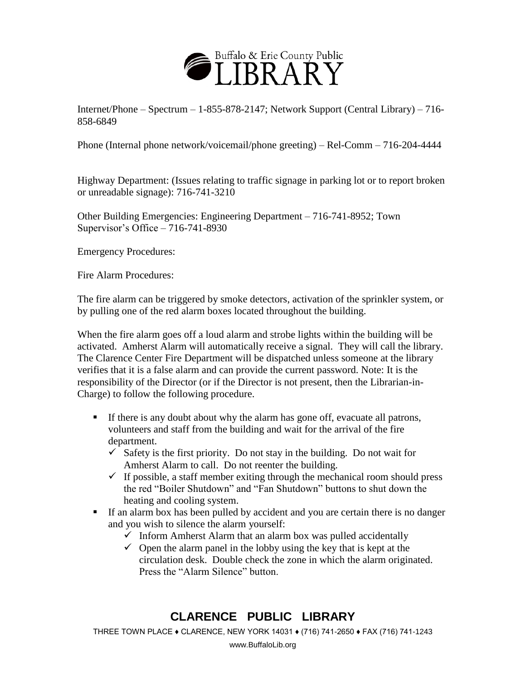

Internet/Phone – Spectrum – 1-855-878-2147; Network Support (Central Library) – 716- 858-6849

Phone (Internal phone network/voicemail/phone greeting) – Rel-Comm – 716-204-4444

Highway Department: (Issues relating to traffic signage in parking lot or to report broken or unreadable signage): 716-741-3210

Other Building Emergencies: Engineering Department – 716-741-8952; Town Supervisor's Office – 716-741-8930

Emergency Procedures:

Fire Alarm Procedures:

The fire alarm can be triggered by smoke detectors, activation of the sprinkler system, or by pulling one of the red alarm boxes located throughout the building.

When the fire alarm goes off a loud alarm and strobe lights within the building will be activated. Amherst Alarm will automatically receive a signal. They will call the library. The Clarence Center Fire Department will be dispatched unless someone at the library verifies that it is a false alarm and can provide the current password. Note: It is the responsibility of the Director (or if the Director is not present, then the Librarian-in-Charge) to follow the following procedure.

- If there is any doubt about why the alarm has gone off, evacuate all patrons, volunteers and staff from the building and wait for the arrival of the fire department.
	- $\checkmark$  Safety is the first priority. Do not stay in the building. Do not wait for Amherst Alarm to call. Do not reenter the building.
	- $\checkmark$  If possible, a staff member exiting through the mechanical room should press the red "Boiler Shutdown" and "Fan Shutdown" buttons to shut down the heating and cooling system.
- If an alarm box has been pulled by accident and you are certain there is no danger and you wish to silence the alarm yourself:
	- $\checkmark$  Inform Amherst Alarm that an alarm box was pulled accidentally
	- $\checkmark$  Open the alarm panel in the lobby using the key that is kept at the circulation desk. Double check the zone in which the alarm originated. Press the "Alarm Silence" button.

## **CLARENCE PUBLIC LIBRARY**

THREE TOWN PLACE ♦ CLARENCE, NEW YORK 14031 ♦ (716) 741-2650 ♦ FAX (716) 741-1243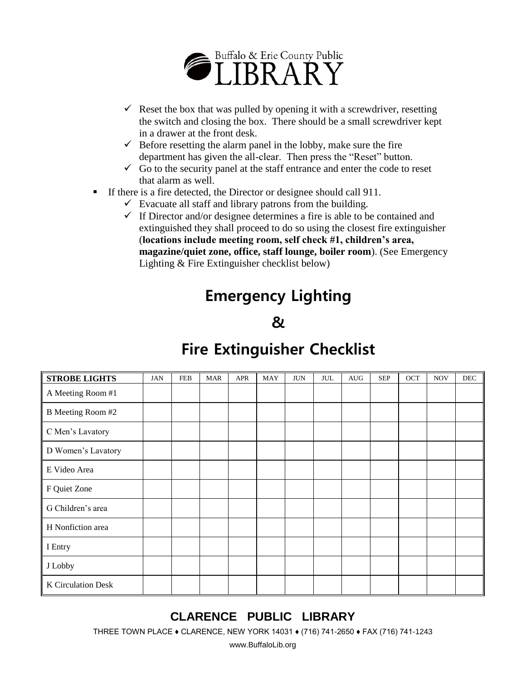

- Reset the box that was pulled by opening it with a screwdriver, resetting the switch and closing the box. There should be a small screwdriver kept in a drawer at the front desk.
- $\checkmark$  Before resetting the alarm panel in the lobby, make sure the fire department has given the all-clear. Then press the "Reset" button.
- $\checkmark$  Go to the security panel at the staff entrance and enter the code to reset that alarm as well.
- If there is a fire detected, the Director or designee should call 911.
	- $\checkmark$  Evacuate all staff and library patrons from the building.
	- $\checkmark$  If Director and/or designee determines a fire is able to be contained and extinguished they shall proceed to do so using the closest fire extinguisher (**locations include meeting room, self check #1, children's area, magazine/quiet zone, office, staff lounge, boiler room**). (See Emergency Lighting & Fire Extinguisher checklist below)

# **Emergency Lighting**

# **&**

# **Fire Extinguisher Checklist**

| <b>STROBE LIGHTS</b> | <b>JAN</b> | <b>FEB</b> | <b>MAR</b> | <b>APR</b> | <b>MAY</b> | <b>JUN</b> | <b>JUL</b> | <b>AUG</b> | <b>SEP</b> | OCT | <b>NOV</b> | $\rm DEC$ |
|----------------------|------------|------------|------------|------------|------------|------------|------------|------------|------------|-----|------------|-----------|
| A Meeting Room #1    |            |            |            |            |            |            |            |            |            |     |            |           |
| B Meeting Room #2    |            |            |            |            |            |            |            |            |            |     |            |           |
| C Men's Lavatory     |            |            |            |            |            |            |            |            |            |     |            |           |
| D Women's Lavatory   |            |            |            |            |            |            |            |            |            |     |            |           |
| E Video Area         |            |            |            |            |            |            |            |            |            |     |            |           |
| F Quiet Zone         |            |            |            |            |            |            |            |            |            |     |            |           |
| G Children's area    |            |            |            |            |            |            |            |            |            |     |            |           |
| H Nonfiction area    |            |            |            |            |            |            |            |            |            |     |            |           |
| I Entry              |            |            |            |            |            |            |            |            |            |     |            |           |
| J Lobby              |            |            |            |            |            |            |            |            |            |     |            |           |
| K Circulation Desk   |            |            |            |            |            |            |            |            |            |     |            |           |

# **CLARENCE PUBLIC LIBRARY**

THREE TOWN PLACE ♦ CLARENCE, NEW YORK 14031 ♦ (716) 741-2650 ♦ FAX (716) 741-1243

www.BuffaloLib.org